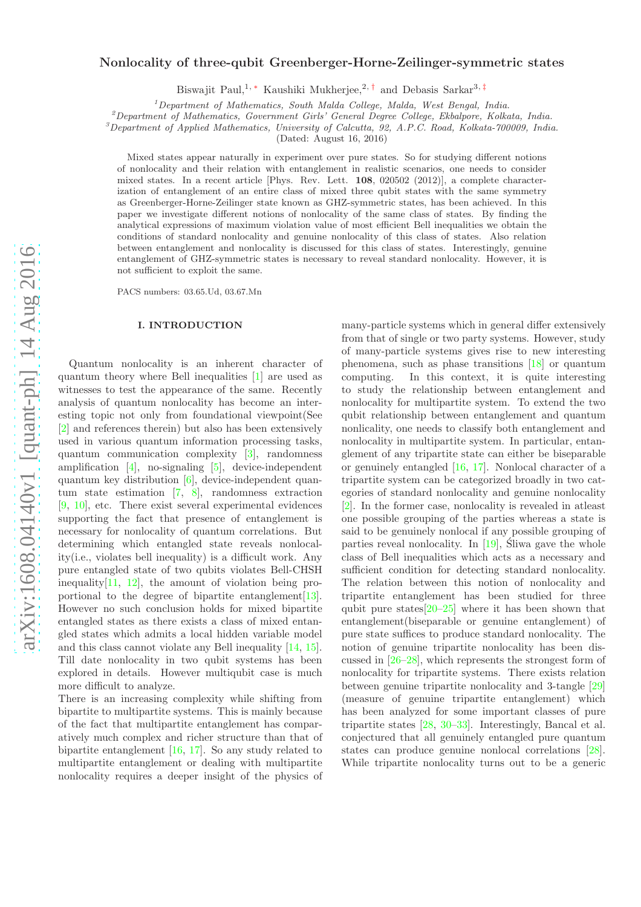# arXiv:1608.04140v1 [quant-ph] 14 Aug 2016 [arXiv:1608.04140v1 \[quant-ph\] 14 Aug 2016](http://arxiv.org/abs/1608.04140v1)

# Nonlocality of three-qubit Greenberger-Horne-Zeilinger-symmetric states

Biswajit Paul,<sup>1, [∗](#page-9-0)</sup> Kaushiki Mukherjee,<sup>2,[†](#page-9-1)</sup> and Debasis Sarkar<sup>3,[‡](#page-9-2)</sup>

 $1$ Department of Mathematics, South Malda College, Malda, West Bengal, India.

<sup>2</sup>Department of Mathematics, Government Girls' General Degree College, Ekbalpore, Kolkata, India.

 ${}^{3}$ Department of Applied Mathematics, University of Calcutta, 92, A.P.C. Road, Kolkata-700009, India.

(Dated: August 16, 2016)

Mixed states appear naturally in experiment over pure states. So for studying different notions of nonlocality and their relation with entanglement in realistic scenarios, one needs to consider mixed states. In a recent article [Phys. Rev. Lett. 108, 020502 (2012)], a complete characterization of entanglement of an entire class of mixed three qubit states with the same symmetry as Greenberger-Horne-Zeilinger state known as GHZ-symmetric states, has been achieved. In this paper we investigate different notions of nonlocality of the same class of states. By finding the analytical expressions of maximum violation value of most efficient Bell inequalities we obtain the conditions of standard nonlocality and genuine nonlocality of this class of states. Also relation between entanglement and nonlocality is discussed for this class of states. Interestingly, genuine entanglement of GHZ-symmetric states is necessary to reveal standard nonlocality. However, it is not sufficient to exploit the same.

PACS numbers: 03.65.Ud, 03.67.Mn

#### I. INTRODUCTION

Quantum nonlocality is an inherent character of quantum theory where Bell inequalities [\[1\]](#page-9-3) are used as witnesses to test the appearance of the same. Recently analysis of quantum nonlocality has become an interesting topic not only from foundational viewpoint(See [\[2\]](#page-9-4) and references therein) but also has been extensively used in various quantum information processing tasks, quantum communication complexity [\[3\]](#page-9-5), randomness amplification  $[4]$ , no-signaling  $[5]$ , device-independent quantum key distribution [\[6\]](#page-9-8), device-independent quantum state estimation [\[7,](#page-9-9) [8\]](#page-9-10), randomness extraction [\[9,](#page-9-11) [10\]](#page-9-12), etc. There exist several experimental evidences supporting the fact that presence of entanglement is necessary for nonlocality of quantum correlations. But determining which entangled state reveals nonlocality(i.e., violates bell inequality) is a difficult work. Any pure entangled state of two qubits violates Bell-CHSH inequality $[11, 12]$  $[11, 12]$  $[11, 12]$ , the amount of violation being proportional to the degree of bipartite entanglement[\[13\]](#page-9-15). However no such conclusion holds for mixed bipartite entangled states as there exists a class of mixed entangled states which admits a local hidden variable model and this class cannot violate any Bell inequality [\[14,](#page-9-16) [15\]](#page-9-17). Till date nonlocality in two qubit systems has been explored in details. However multiqubit case is much more difficult to analyze.

There is an increasing complexity while shifting from bipartite to multipartite systems. This is mainly because of the fact that multipartite entanglement has comparatively much complex and richer structure than that of bipartite entanglement [\[16,](#page-9-18) [17\]](#page-9-19). So any study related to multipartite entanglement or dealing with multipartite nonlocality requires a deeper insight of the physics of many-particle systems which in general differ extensively from that of single or two party systems. However, study of many-particle systems gives rise to new interesting phenomena, such as phase transitions [\[18\]](#page-9-20) or quantum computing. In this context, it is quite interesting to study the relationship between entanglement and nonlocality for multipartite system. To extend the two qubit relationship between entanglement and quantum nonlicality, one needs to classify both entanglement and nonlocality in multipartite system. In particular, entanglement of any tripartite state can either be biseparable or genuinely entangled [\[16](#page-9-18), [17\]](#page-9-19). Nonlocal character of a tripartite system can be categorized broadly in two categories of standard nonlocality and genuine nonlocality [\[2\]](#page-9-4). In the former case, nonlocality is revealed in atleast one possible grouping of the parties whereas a state is said to be genuinely nonlocal if any possible grouping of parties reveal nonlocality. In  $[19]$ , Sliwa gave the whole class of Bell inequalities which acts as a necessary and sufficient condition for detecting standard nonlocality. The relation between this notion of nonlocality and tripartite entanglement has been studied for three qubit pure states  $[20-25]$  $[20-25]$  where it has been shown that entanglement(biseparable or genuine entanglement) of pure state suffices to produce standard nonlocality. The notion of genuine tripartite nonlocality has been discussed in [\[26](#page-9-24)[–28](#page-9-25)], which represents the strongest form of nonlocality for tripartite systems. There exists relation between genuine tripartite nonlocality and 3-tangle [\[29](#page-9-26)] (measure of genuine tripartite entanglement) which has been analyzed for some important classes of pure tripartite states [\[28](#page-9-25), [30](#page-9-27)[–33\]](#page-9-28). Interestingly, Bancal et al. conjectured that all genuinely entangled pure quantum states can produce genuine nonlocal correlations [\[28\]](#page-9-25). While tripartite nonlocality turns out to be a generic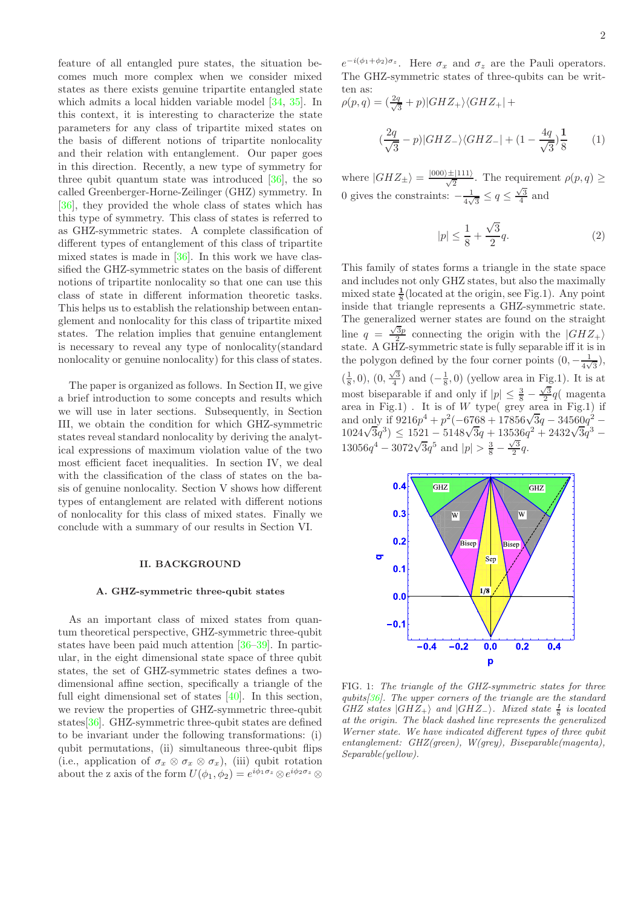feature of all entangled pure states, the situation becomes much more complex when we consider mixed states as there exists genuine tripartite entangled state which admits a local hidden variable model [\[34](#page-9-29), [35\]](#page-9-30). In this context, it is interesting to characterize the state parameters for any class of tripartite mixed states on the basis of different notions of tripartite nonlocality and their relation with entanglement. Our paper goes in this direction. Recently, a new type of symmetry for three qubit quantum state was introduced [\[36](#page-10-0)], the so called Greenberger-Horne-Zeilinger (GHZ) symmetry. In [\[36\]](#page-10-0), they provided the whole class of states which has this type of symmetry. This class of states is referred to as GHZ-symmetric states. A complete classification of different types of entanglement of this class of tripartite mixed states is made in [\[36](#page-10-0)]. In this work we have classified the GHZ-symmetric states on the basis of different notions of tripartite nonlocality so that one can use this class of state in different information theoretic tasks. This helps us to establish the relationship between entanglement and nonlocality for this class of tripartite mixed states. The relation implies that genuine entanglement is necessary to reveal any type of nonlocality(standard nonlocality or genuine nonlocality) for this class of states.

The paper is organized as follows. In Section II, we give a brief introduction to some concepts and results which we will use in later sections. Subsequently, in Section III, we obtain the condition for which GHZ-symmetric states reveal standard nonlocality by deriving the analytical expressions of maximum violation value of the two most efficient facet inequalities. In section IV, we deal with the classification of the class of states on the basis of genuine nonlocality. Section V shows how different types of entanglement are related with different notions of nonlocality for this class of mixed states. Finally we conclude with a summary of our results in Section VI.

#### II. BACKGROUND

#### A. GHZ-symmetric three-qubit states

As an important class of mixed states from quantum theoretical perspective, GHZ-symmetric three-qubit states have been paid much attention [\[36](#page-10-0)[–39\]](#page-10-1). In particular, in the eight dimensional state space of three qubit states, the set of GHZ-symmetric states defines a twodimensional affine section, specifically a triangle of the full eight dimensional set of states [\[40\]](#page-10-2). In this section, we review the properties of GHZ-symmetric three-qubit states[\[36\]](#page-10-0). GHZ-symmetric three-qubit states are defined to be invariant under the following transformations: (i) qubit permutations, (ii) simultaneous three-qubit flips (i.e., application of  $\sigma_x \otimes \sigma_x \otimes \sigma_x$ ), (iii) qubit rotation about the z axis of the form  $U(\phi_1, \phi_2) = e^{i\phi_1 \sigma_z} \otimes e^{i\phi_2 \sigma_z} \otimes$ 

 $e^{-i(\phi_1+\phi_2)\sigma_z}$ . Here  $\sigma_x$  and  $\sigma_z$  are the Pauli operators. The GHZ-symmetric states of three-qubits can be written as:

<span id="page-1-1"></span>
$$
\rho(p,q) = \left(\frac{2q}{\sqrt{3}} + p\right)|GHZ_+\rangle\langle GHZ_+| +
$$

$$
\left(\frac{2q}{\sqrt{3}} - p\right)|GHZ_-\rangle\langle GHZ_-| + \left(1 - \frac{4q}{\sqrt{3}}\right)\frac{1}{8} \tag{1}
$$

where  $|GHZ_{\pm}\rangle = \frac{|000\rangle \pm |111\rangle}{\sqrt{2}}$ . The requirement  $\rho(p,q) \ge$ 0 gives the constraints:  $-\frac{1}{4\sqrt{3}} \leq q \leq \frac{\sqrt{3}}{4}$  and

<span id="page-1-0"></span>
$$
|p| \le \frac{1}{8} + \frac{\sqrt{3}}{2}q. \tag{2}
$$

This family of states forms a triangle in the state space and includes not only GHZ states, but also the maximally mixed state  $\frac{1}{8}$  (located at the origin, see Fig.1). Any point inside that triangle represents a GHZ-symmetric state. The generalized werner states are found on the straight line  $q = \frac{\sqrt{3}p}{2}$  connecting the origin with the  $|GHZ_+\rangle$ state. A GHZ-symmetric state is fully separable iff it is in the polygon defined by the four corner points  $(0, -\frac{1}{4\nu})$  $\frac{1}{4\sqrt{3}}),$  $(\frac{1}{8}, 0), (0, \frac{\sqrt{3}}{4})$  and  $(-\frac{1}{8}, 0)$  (yellow area in Fig.1). It is at most biseparable if and only if  $|p| \leq \frac{3}{8}$  $\frac{\sqrt{3}}{2}q\left(\right)$  magenta area in Fig.1). It is of  $W$  type( grey area in Fig.1) if and only if  $9216p^4 + p^2(-6768 + 17856\sqrt{3}q - 34560q^2 (1024\sqrt{3}q^3) \le 1521 - 5148\sqrt{3}q + 13536q^2 + 2432\sqrt{3}q^3$  $13056q^4 - 3072\sqrt{3}q^5$  and  $|p| > \frac{3}{8}$  –  $\frac{\sqrt{3}}{2}q$ .



FIG. 1: The triangle of the GHZ-symmetric states for three qubits  $[36]$  $[36]$ . The upper corners of the triangle are the standard  $GHZ$  states  $|GHZ_+\rangle$  and  $|GHZ_-\rangle$ . Mixed state  $\frac{1}{8}$  is located at the origin. The black dashed line represents the generalized Werner state. We have indicated different types of three qubit entanglement: GHZ(green), W(grey), Biseparable(magenta), Separable(yellow).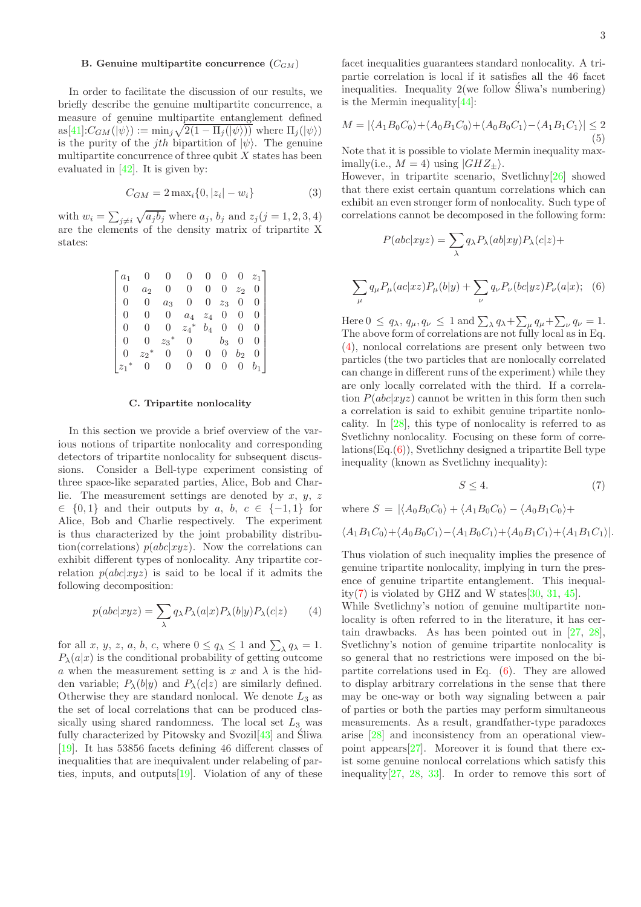In order to facilitate the discussion of our results, we briefly describe the genuine multipartite concurrence, a measure of genuine multipartite entanglement defined  $\text{as}[41].C_{GM}(|\psi\rangle) := \min_j \sqrt{2(1-\Pi_j(|\psi\rangle))} \text{ where } \Pi_j(|\psi\rangle)$  $\text{as}[41].C_{GM}(|\psi\rangle) := \min_j \sqrt{2(1-\Pi_j(|\psi\rangle))} \text{ where } \Pi_j(|\psi\rangle)$  $\text{as}[41].C_{GM}(|\psi\rangle) := \min_j \sqrt{2(1-\Pi_j(|\psi\rangle))} \text{ where } \Pi_j(|\psi\rangle)$ is the purity of the *j*th bipartition of  $|\psi\rangle$ . The genuine multipartite concurrence of three qubit  $X$  states has been evaluated in [\[42\]](#page-10-4). It is given by:

<span id="page-2-4"></span>
$$
C_{GM} = 2 \max_{i} \{0, |z_i| - w_i\} \tag{3}
$$

with  $w_i = \sum_{j\neq i} \sqrt{a_j b_j}$  where  $a_j$ ,  $b_j$  and  $z_j$  (j = 1, 2, 3, 4) are the elements of the density matrix of tripartite X states:

| $a_1$ |                   |       |            |                  |                  |                  | $\scriptstyle z_{1}$ |
|-------|-------------------|-------|------------|------------------|------------------|------------------|----------------------|
|       | a <sub>2</sub>    | 0     | O          | 0                | 0                | $\overline{z_2}$ |                      |
|       | 0                 | $a_3$ | 0          | 0                | $\overline{z_3}$ | 0                | 0                    |
|       |                   | 0     | $a_4$      | $\overline{z}_4$ | 0                |                  | $\left( \right)$     |
|       |                   | 0     | ∗<br>$z_4$ | $b_4$            | 0                | O                | 0                    |
|       |                   | $z_3$ | 0          |                  | $b_3$            | 0                | 0                    |
|       | $\mathcal{Z}_{2}$ |       | 0          | 0                | 0                | $b_2$            | $\left( \right)$     |
|       |                   | 0     | 0          | $\left( \right)$ |                  |                  |                      |

#### C. Tripartite nonlocality

In this section we provide a brief overview of the various notions of tripartite nonlocality and corresponding detectors of tripartite nonlocality for subsequent discussions. Consider a Bell-type experiment consisting of three space-like separated parties, Alice, Bob and Charlie. The measurement settings are denoted by x,  $y$ , z  $\in \{0,1\}$  and their outputs by a, b,  $c \in \{-1,1\}$  for Alice, Bob and Charlie respectively. The experiment is thus characterized by the joint probability distribution(correlations)  $p(abc|xyz)$ . Now the correlations can exhibit different types of nonlocality. Any tripartite correlation  $p(abc|xyz)$  is said to be local if it admits the following decomposition:

<span id="page-2-0"></span>
$$
p(abc|xyz) = \sum_{\lambda} q_{\lambda} P_{\lambda}(a|x) P_{\lambda}(b|y) P_{\lambda}(c|z)
$$
 (4)

for all x, y, z, a, b, c, where  $0 \le q_{\lambda} \le 1$  and  $\sum_{\lambda} q_{\lambda} = 1$ .  $P_{\lambda}(a|x)$  is the conditional probability of getting outcome a when the measurement setting is x and  $\lambda$  is the hidden variable;  $P_{\lambda}(b|y)$  and  $P_{\lambda}(c|z)$  are similarly defined. Otherwise they are standard nonlocal. We denote  $L_3$  as the set of local correlations that can be produced classically using shared randomness. The local set  $L_3$  was fully characterized by Pitowsky and Svozil $[43]$  and Sliwa [\[19\]](#page-9-21). It has 53856 facets defining 46 different classes of inequalities that are inequivalent under relabeling of parties, inputs, and outputs[\[19\]](#page-9-21). Violation of any of these facet inequalities guarantees standard nonlocality. A tripartie correlation is local if it satisfies all the 46 facet inequalities. Inequality  $2$  (we follow Sliwa's numbering) is the Mermin inequality $[44]$  $[44]$ :

<span id="page-2-3"></span>
$$
M = |\langle A_1 B_0 C_0 \rangle + \langle A_0 B_1 C_0 \rangle + \langle A_0 B_0 C_1 \rangle - \langle A_1 B_1 C_1 \rangle| \le 2
$$
\n(5)

Note that it is possible to violate Mermin inequality maximally(i.e.,  $M = 4$ ) using  $|GHZ_+\rangle$ .

However, in tripartite scenario, Svetlichny[\[26\]](#page-9-24) showed that there exist certain quantum correlations which can exhibit an even stronger form of nonlocality. Such type of correlations cannot be decomposed in the following form:

$$
P(abc|xyz)=\sum_{\lambda}q_{\lambda}P_{\lambda}(ab|xy)P_{\lambda}(c|z)+
$$

<span id="page-2-1"></span>
$$
\sum_{\mu} q_{\mu} P_{\mu}(ac|xz) P_{\mu}(b|y) + \sum_{\nu} q_{\nu} P_{\nu}(bc|yz) P_{\nu}(a|x); \quad (6)
$$

Here  $0 \le q_\lambda$ ,  $q_\mu$ ,  $q_\nu \le 1$  and  $\sum_\lambda q_\lambda + \sum_\mu q_\mu + \sum_\nu q_\nu = 1$ . The above form of correlations are not fully local as in Eq. [\(4\)](#page-2-0), nonlocal correlations are present only between two particles (the two particles that are nonlocally correlated can change in different runs of the experiment) while they are only locally correlated with the third. If a correlation  $P(abc|xyz)$  cannot be written in this form then such a correlation is said to exhibit genuine tripartite nonlocality. In [\[28](#page-9-25)], this type of nonlocality is referred to as Svetlichny nonlocality. Focusing on these form of corre $lations(Eq.6)$ , Svetlichny designed a tripartite Bell type inequality (known as Svetlichny inequality):

<span id="page-2-2"></span>
$$
S \le 4. \tag{7}
$$

where  $S = |\langle A_0 B_0 C_0 \rangle + \langle A_1 B_0 C_0 \rangle - \langle A_0 B_1 C_0 \rangle +$  $\left(A, B, C_1\right)$ + $\left(A, B, C_2\right)$  + $\left(A, B, C_1\right)$ + $\left(A, B, C_2\right)$  + $\left(A, B, C_1\right)$ 

$$
\langle A_1D_1C_0\rangle + \langle A_0D_0C_1\rangle - \langle A_1D_0C_1\rangle + \langle A_0D_1C_1\rangle + \langle A_1D_1C_1\rangle
$$

Thus violation of such inequality implies the presence of genuine tripartite nonlocality, implying in turn the presence of genuine tripartite entanglement. This inequal-ity[\(7\)](#page-2-2) is violated by GHZ and W states $[30, 31, 45]$  $[30, 31, 45]$  $[30, 31, 45]$  $[30, 31, 45]$  $[30, 31, 45]$ .

While Svetlichny's notion of genuine multipartite nonlocality is often referred to in the literature, it has certain drawbacks. As has been pointed out in [\[27](#page-9-32), [28\]](#page-9-25), Svetlichny's notion of genuine tripartite nonlocality is so general that no restrictions were imposed on the bipartite correlations used in Eq. [\(6\)](#page-2-1). They are allowed to display arbitrary correlations in the sense that there may be one-way or both way signaling between a pair of parties or both the parties may perform simultaneous measurements. As a result, grandfather-type paradoxes arise [\[28\]](#page-9-25) and inconsistency from an operational viewpoint appears  $[27]$ . Moreover it is found that there exist some genuine nonlocal correlations which satisfy this inequality[\[27,](#page-9-32) [28](#page-9-25), [33\]](#page-9-28). In order to remove this sort of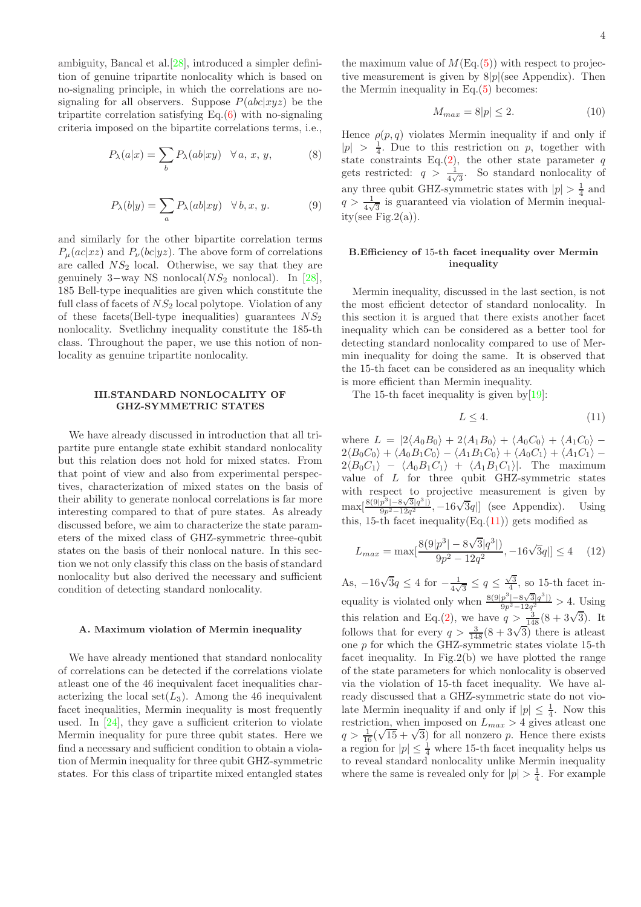ambiguity, Bancal et al.[\[28\]](#page-9-25), introduced a simpler definition of genuine tripartite nonlocality which is based on no-signaling principle, in which the correlations are nosignaling for all observers. Suppose  $P(abc|xyz)$  be the tripartite correlation satisfying  $Eq.(6)$  $Eq.(6)$  with no-signaling criteria imposed on the bipartite correlations terms, i.e.,

$$
P_{\lambda}(a|x) = \sum_{b} P_{\lambda}(ab|xy) \quad \forall a, x, y,
$$
 (8)

$$
P_{\lambda}(b|y) = \sum_{a} P_{\lambda}(ab|xy) \quad \forall \, b, x, y. \tag{9}
$$

and similarly for the other bipartite correlation terms  $P_{\mu}(ac|xz)$  and  $P_{\nu}(bc|yz)$ . The above form of correlations are called  $NS<sub>2</sub>$  local. Otherwise, we say that they are genuinely 3–way NS nonlocal( $NS_2$  nonlocal). In [\[28\]](#page-9-25), 185 Bell-type inequalities are given which constitute the full class of facets of  $NS<sub>2</sub>$  local polytope. Violation of any of these facets(Bell-type inequalities) guarantees  $NS_2$ nonlocality. Svetlichny inequality constitute the 185-th class. Throughout the paper, we use this notion of nonlocality as genuine tripartite nonlocality.

## III.STANDARD NONLOCALITY OF GHZ-SYMMETRIC STATES

We have already discussed in introduction that all tripartite pure entangle state exhibit standard nonlocality but this relation does not hold for mixed states. From that point of view and also from experimental perspectives, characterization of mixed states on the basis of their ability to generate nonlocal correlations is far more interesting compared to that of pure states. As already discussed before, we aim to characterize the state parameters of the mixed class of GHZ-symmetric three-qubit states on the basis of their nonlocal nature. In this section we not only classify this class on the basis of standard nonlocality but also derived the necessary and sufficient condition of detecting standard nonlocality.

# A. Maximum violation of Mermin inequality

We have already mentioned that standard nonlocality of correlations can be detected if the correlations violate atleast one of the 46 inequivalent facet inequalities characterizing the local set $(L_3)$ . Among the 46 inequivalent facet inequalities, Mermin inequality is most frequently used. In [\[24\]](#page-9-33), they gave a sufficient criterion to violate Mermin inequality for pure three qubit states. Here we find a necessary and sufficient condition to obtain a violation of Mermin inequality for three qubit GHZ-symmetric states. For this class of tripartite mixed entangled states the maximum value of  $M(\text{Eq.}(5))$  $M(\text{Eq.}(5))$  $M(\text{Eq.}(5))$  with respect to projective measurement is given by  $8|p|$ (see Appendix). Then the Mermin inequality in Eq.[\(5\)](#page-2-3) becomes:

<span id="page-3-1"></span>
$$
M_{max} = 8|p| \le 2. \tag{10}
$$

Hence  $\rho(p,q)$  violates Mermin inequality if and only if  $|p| > \frac{1}{4}$ . Due to this restriction on p, together with state constraints Eq. $(2)$ , the other state parameter q gets restricted:  $q > \frac{1}{4\sqrt{3}}$ . So standard nonlocality of any three qubit GHZ-symmetric states with  $|p| > \frac{1}{4}$  and  $q > \frac{1}{4\sqrt{3}}$  is guaranteed via violation of Mermin inequality(see Fig.  $2(a)$ ).

# B.Efficiency of 15-th facet inequality over Mermin inequality

Mermin inequality, discussed in the last section, is not the most efficient detector of standard nonlocality. In this section it is argued that there exists another facet inequality which can be considered as a better tool for detecting standard nonlocality compared to use of Mermin inequality for doing the same. It is observed that the 15-th facet can be considered as an inequality which is more efficient than Mermin inequality.

The 15-th facet inequality is given by  $[19]$ :

<span id="page-3-0"></span>
$$
L \le 4. \tag{11}
$$

where  $L = |2\langle A_0B_0\rangle + 2\langle A_1B_0\rangle + \langle A_0C_0\rangle + \langle A_1C_0\rangle 2\langle B_0C_0\rangle + \langle A_0B_1C_0\rangle - \langle A_1B_1C_0\rangle + \langle A_0C_1\rangle + \langle A_1C_1\rangle 2\langle B_0C_1\rangle - \langle A_0B_1C_1\rangle + \langle A_1B_1C_1\rangle$ . The maximum value of  $L$  for three qubit GHZ-symmetric states with respect to projective measurement is given by  $\max[\frac{8(9|p^3|-8\sqrt{3}|q^3|)}{9p^2-12q^2},-16\sqrt{3}q] ]$  (see Appendix). Using this, 15-th facet inequality(Eq. $(11)$ ) gets modified as

<span id="page-3-2"></span>
$$
L_{max} = \max[\frac{8(9|p^3| - 8\sqrt{3}|q^3|)}{9p^2 - 12q^2}, -16\sqrt{3}q] \le 4 \quad (12)
$$

As,  $-16\sqrt{3}q \leq 4$  for  $-\frac{1}{4\sqrt{3}}$  $\frac{1}{4\sqrt{3}} \leq q \leq \frac{\sqrt{3}}{4}$ , so 15-th facet inequality is violated only when  $\frac{8(9|p^3| - 8\sqrt{3}|q^3|)}{9p^2 - 12q^2} > 4$ . Using this relation and Eq.[\(2\)](#page-1-0), we have  $q > \frac{3}{148}(8 + 3\sqrt{3})$ . It follows that for every  $q > \frac{3}{148}(8 + 3\sqrt{3})$  there is at least one p for which the GHZ-symmetric states violate 15-th facet inequality. In Fig.2(b) we have plotted the range of the state parameters for which nonlocality is observed via the violation of 15-th facet inequality. We have already discussed that a GHZ-symmetric state do not violate Mermin inequality if and only if  $|p| \leq \frac{1}{4}$ . Now this restriction, when imposed on  $L_{max} > 4$  gives at least one  $q > \frac{1}{16}(\sqrt{15} + \sqrt{3})$  for all nonzero p. Hence there exists a region for  $|p| \leq \frac{1}{4}$  where 15-th facet inequality helps us to reveal standard nonlocality unlike Mermin inequality where the same is revealed only for  $|p| > \frac{1}{4}$ . For example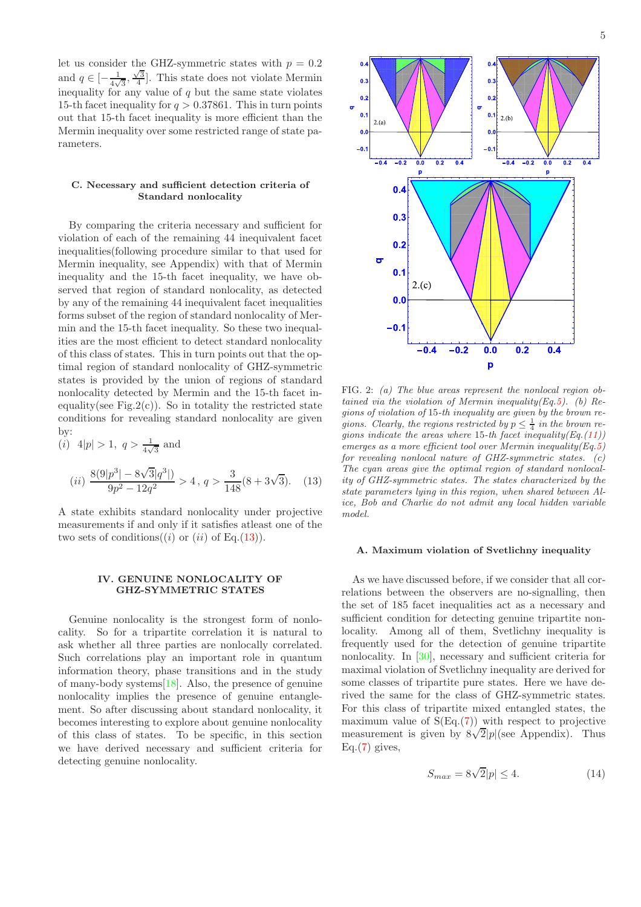let us consider the GHZ-symmetric states with  $p = 0.2$ and  $q \in \left[-\frac{1}{4\sqrt{ }}\right]$  $\frac{1}{4\sqrt{3}}, \frac{\sqrt{3}}{4}$ . This state does not violate Mermin inequality for any value of  $q$  but the same state violates 15-th facet inequality for  $q > 0.37861$ . This in turn points out that 15-th facet inequality is more efficient than the Mermin inequality over some restricted range of state parameters.

# C. Necessary and sufficient detection criteria of Standard nonlocality

By comparing the criteria necessary and sufficient for violation of each of the remaining 44 inequivalent facet inequalities(following procedure similar to that used for Mermin inequality, see Appendix) with that of Mermin inequality and the 15-th facet inequality, we have observed that region of standard nonlocality, as detected by any of the remaining 44 inequivalent facet inequalities forms subset of the region of standard nonlocality of Mermin and the 15-th facet inequality. So these two inequalities are the most efficient to detect standard nonlocality of this class of states. This in turn points out that the optimal region of standard nonlocality of GHZ-symmetric states is provided by the union of regions of standard nonlocality detected by Mermin and the 15-th facet inequality(see Fig.  $2(c)$ ). So in totality the restricted state conditions for revealing standard nonlocality are given by:

(i) 
$$
4|p| > 1
$$
,  $q > \frac{1}{4\sqrt{3}}$  and  
\n(ii)  $\frac{8(9|p^3| - 8\sqrt{3}|q^3|)}{9p^2 - 12q^2} > 4$ ,  $q > \frac{3}{148}(8 + 3\sqrt{3})$ . (13)

<span id="page-4-0"></span>A state exhibits standard nonlocality under projective measurements if and only if it satisfies atleast one of the two sets of conditions((i) or (ii) of Eq.[\(13\)](#page-4-0)).

# IV. GENUINE NONLOCALITY OF GHZ-SYMMETRIC STATES

Genuine nonlocality is the strongest form of nonlocality. So for a tripartite correlation it is natural to ask whether all three parties are nonlocally correlated. Such correlations play an important role in quantum information theory, phase transitions and in the study of many-body systems[\[18\]](#page-9-20). Also, the presence of genuine nonlocality implies the presence of genuine entanglement. So after discussing about standard nonlocality, it becomes interesting to explore about genuine nonlocality of this class of states. To be specific, in this section we have derived necessary and sufficient criteria for detecting genuine nonlocality.



FIG. 2: (a) The blue areas represent the nonlocal region ob-tained via the violation of Mermin inequality(Eq[.5\)](#page-2-3). (b) Regions of violation of 15-th inequality are given by the brown regions. Clearly, the regions restricted by  $p \leq \frac{1}{4}$  in the brown re-gions indicate the areas where 15-th facet inequality(Eq.[\(11\)](#page-3-0)) emerges as a more efficient tool over Mermin inequality $(Eq.5)$  $(Eq.5)$ for revealing nonlocal nature of GHZ-symmetric states. (c) The cyan areas give the optimal region of standard nonlocality of GHZ-symmetric states. The states characterized by the state parameters lying in this region, when shared between Alice, Bob and Charlie do not admit any local hidden variable model.

# A. Maximum violation of Svetlichny inequality

As we have discussed before, if we consider that all correlations between the observers are no-signalling, then the set of 185 facet inequalities act as a necessary and sufficient condition for detecting genuine tripartite nonlocality. Among all of them, Svetlichny inequality is frequently used for the detection of genuine tripartite nonlocality. In [\[30\]](#page-9-27), necessary and sufficient criteria for maximal violation of Svetlichny inequality are derived for some classes of tripartite pure states. Here we have derived the same for the class of GHZ-symmetric states. For this class of tripartite mixed entangled states, the maximum value of  $S(Eq.7)$  with respect to projective measurement is given by  $8\sqrt{2}|p|$ (see Appendix). Thus  $Eq.(7)$  $Eq.(7)$  gives,

<span id="page-4-1"></span>
$$
S_{max} = 8\sqrt{2}|p| \le 4. \tag{14}
$$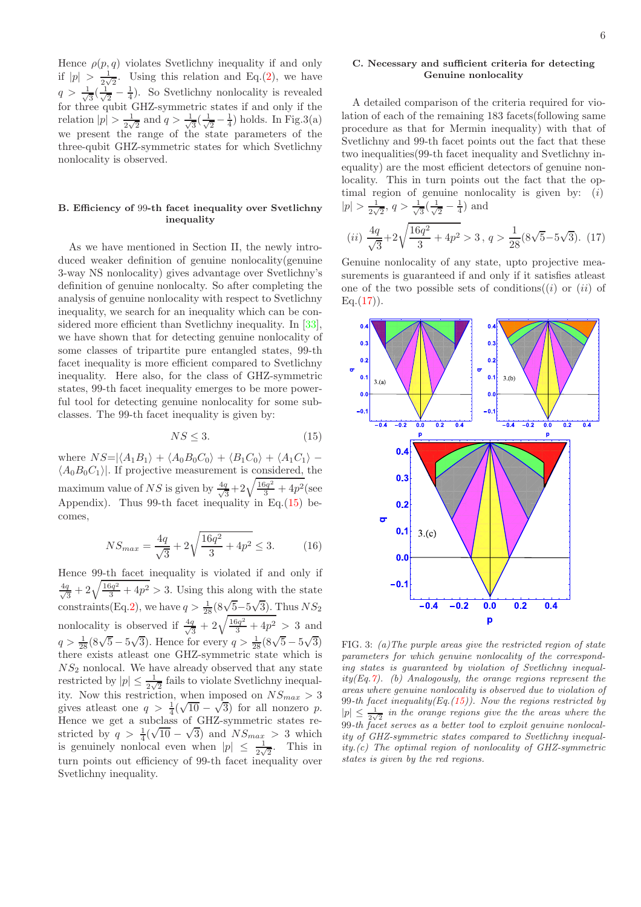Hence  $\rho(p,q)$  violates Svetlichny inequality if and only if  $|p| > \frac{1}{2\nu}$  $\frac{1}{2\sqrt{2}}$ . Using this relation and Eq.[\(2\)](#page-1-0), we have  $q > \frac{1}{\sqrt{2}}$  $\frac{1}{3}(\frac{1}{\sqrt{2}})$  $\frac{1}{2} - \frac{1}{4}$ ). So Svetlichny nonlocality is revealed for three qubit GHZ-symmetric states if and only if the relation  $|p| > \frac{1}{2\sqrt{2}}$  $\frac{1}{2\sqrt{2}}$  and  $q > \frac{1}{\sqrt{2}}$  $\frac{1}{3}(\frac{1}{\sqrt{2}})$  $\frac{1}{2} - \frac{1}{4}$ ) holds. In Fig.3(a) we present the range of the state parameters of the three-qubit GHZ-symmetric states for which Svetlichny nonlocality is observed.

# B. Efficiency of 99-th facet inequality over Svetlichny inequality

As we have mentioned in Section II, the newly introduced weaker definition of genuine nonlocality(genuine 3-way NS nonlocality) gives advantage over Svetlichny's definition of genuine nonlocalty. So after completing the analysis of genuine nonlocality with respect to Svetlichny inequality, we search for an inequality which can be considered more efficient than Svetlichny inequality. In [\[33\]](#page-9-28), we have shown that for detecting genuine nonlocality of some classes of tripartite pure entangled states, 99-th facet inequality is more efficient compared to Svetlichny inequality. Here also, for the class of GHZ-symmetric states, 99-th facet inequality emerges to be more powerful tool for detecting genuine nonlocality for some subclasses. The 99-th facet inequality is given by:

<span id="page-5-0"></span>
$$
NS \le 3. \tag{15}
$$

where  $NS=|\langle A_1B_1\rangle + \langle A_0B_0C_0\rangle + \langle B_1C_0\rangle + \langle A_1C_1\rangle \langle A_0B_0C_1\rangle$ . If projective measurement is considered, the maximum value of NS is given by  $\frac{4q}{\sqrt{6}}$  $\frac{q}{3}+2\sqrt{\frac{16q^2}{3}+4p^2}$ (see Appendix). Thus 99-th facet inequality in Eq.[\(15\)](#page-5-0) becomes,

<span id="page-5-2"></span>
$$
NS_{max} = \frac{4q}{\sqrt{3}} + 2\sqrt{\frac{16q^2}{3} + 4p^2} \le 3.
$$
 (16)

Hence 99-th facet inequality is violated if and only if  $\frac{4q}{\sqrt{2}}$  $\frac{q}{3}+2\sqrt{\frac{16q^2}{3}+4p^2}>3.$  Using this along with the state constraints(Eq[.2\)](#page-1-0), we have  $q > \frac{1}{28} (8\sqrt{5} - 5\sqrt{3})$ . Thus  $NS_2$ nonlocality is observed if  $\frac{4q}{\sqrt{6}}$  $\frac{q}{3} + 2\sqrt{\frac{16q^2}{3} + 4p^2} > 3$  and  $q > \frac{1}{28} (8\sqrt{5} - 5\sqrt{3}).$  Hence for every  $q > \frac{1}{28} (8\sqrt{5} - 5\sqrt{3})$ there exists atleast one GHZ-symmetric state which is  $NS<sub>2</sub>$  nonlocal. We have already observed that any state restricted by  $|p| \leq \frac{1}{2\sqrt{2}}$  fails to violate Svetlichny inequality. Now this restriction, when imposed on  $NS_{max} > 3$ gives at least one  $q > \frac{1}{4}(\sqrt{10} - \sqrt{3})$  for all nonzero p. Hence we get a subclass of GHZ-symmetric states restricted by  $q > \frac{1}{4}(\sqrt{10} - \sqrt{3})$  and  $NS_{max} > 3$  which is genuinely nonlocal even when  $|p| \leq \frac{1}{2\sqrt{2}}$ . This in turn points out efficiency of 99-th facet inequality over Svetlichny inequality.

# C. Necessary and sufficient criteria for detecting Genuine nonlocality

A detailed comparison of the criteria required for violation of each of the remaining 183 facets(following same procedure as that for Mermin inequality) with that of Svetlichny and 99-th facet points out the fact that these two inequalities(99-th facet inequality and Svetlichny inequality) are the most efficient detectors of genuine nonlocality. This in turn points out the fact that the optimal region of genuine nonlocality is given by:  $(i)$  $|p| > \frac{1}{2\nu}$  $\frac{1}{2\sqrt{2}},\, q > \frac{1}{\sqrt{2}}$  $\frac{1}{3}(\frac{1}{\sqrt{2}})$  $\frac{1}{2} - \frac{1}{4}$  and

<span id="page-5-1"></span>
$$
(ii) \frac{4q}{\sqrt{3}} + 2\sqrt{\frac{16q^2}{3} + 4p^2} > 3, q > \frac{1}{28}(8\sqrt{5} - 5\sqrt{3}).
$$
 (17)

Genuine nonlocality of any state, upto projective measurements is guaranteed if and only if it satisfies atleast one of the two possible sets of conditions( $(i)$  or  $(ii)$  of  $Eq.(17)$  $Eq.(17)$ .



FIG. 3:  $(a)$ The purple areas give the restricted region of state parameters for which genuine nonlocality of the corresponding states is guaranteed by violation of Svetlichny inequal- $ity(Eq.7)$  $ity(Eq.7)$ . (b) Analogously, the orange regions represent the areas where genuine nonlocality is observed due to violation of 99-th facet inequality(Eq.[\(15\)](#page-5-0)). Now the regions restricted by  $|p| \leq \frac{1}{2\sqrt{2}}$  in the orange regions give the the areas where the 99-th facet serves as a better tool to exploit genuine nonlocality of GHZ-symmetric states compared to Svetlichny inequality.(c) The optimal region of nonlocality of GHZ-symmetric states is given by the red regions.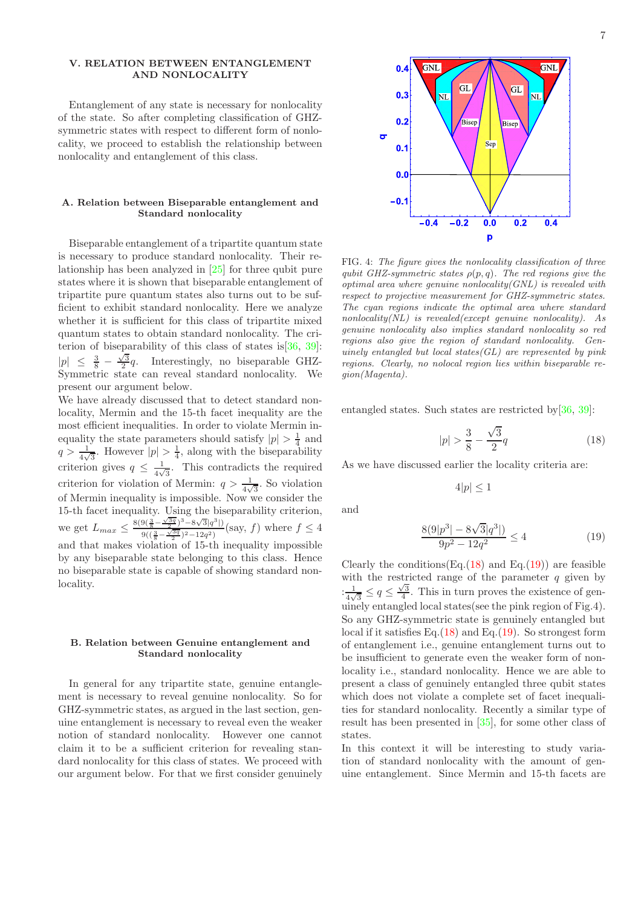## V. RELATION BETWEEN ENTANGLEMENT AND NONLOCALITY

Entanglement of any state is necessary for nonlocality of the state. So after completing classification of GHZsymmetric states with respect to different form of nonlocality, we proceed to establish the relationship between nonlocality and entanglement of this class.

## A. Relation between Biseparable entanglement and Standard nonlocality

Biseparable entanglement of a tripartite quantum state is necessary to produce standard nonlocality. Their relationship has been analyzed in [\[25\]](#page-9-23) for three qubit pure states where it is shown that biseparable entanglement of tripartite pure quantum states also turns out to be sufficient to exhibit standard nonlocality. Here we analyze whether it is sufficient for this class of tripartite mixed quantum states to obtain standard nonlocality. The criterion of biseparability of this class of states is[\[36,](#page-10-0) [39\]](#page-10-1):  $|p| \leq \frac{3}{8}$  –  $\frac{\sqrt{3}}{2}q$ . Interestingly, no biseparable GHZ-Symmetric state can reveal standard nonlocality. We present our argument below.

We have already discussed that to detect standard nonlocality, Mermin and the 15-th facet inequality are the most efficient inequalities. In order to violate Mermin inequality the state parameters should satisfy  $|p| > \frac{1}{4}$  and  $q > \frac{1}{4\sqrt{3}}$ . However  $|p| > \frac{1}{4}$ , along with the biseparability criterion gives  $q \leq \frac{1}{4\sqrt{2}}$  $\frac{1}{4\sqrt{3}}$ . This contradicts the required criterion for violation of Mermin:  $q > \frac{1}{4\sqrt{3}}$ . So violation of Mermin inequality is impossible. Now we consider the 15-th facet inequality. Using the biseparability criterion, we get  $L_{max} \leq \frac{8(9(\frac{3}{8} - \frac{\sqrt{3q}}{2})^3 - 8\sqrt{3}q^3|)}{9((\frac{3}{8} - \frac{\sqrt{3q}}{2})^2 - 12q^2)}$  $\frac{9(\frac{2}{8}-\frac{\sqrt{3}q}{2})^2-12q^2}{9((\frac{3}{8}-\frac{\sqrt{3}q}{2})^2-12q^2)}$  (say, f) where  $f \leq 4$ and that makes violation of 15-th inequality impossible by any biseparable state belonging to this class. Hence no biseparable state is capable of showing standard nonlocality.

# B. Relation between Genuine entanglement and Standard nonlocality

In general for any tripartite state, genuine entanglement is necessary to reveal genuine nonlocality. So for GHZ-symmetric states, as argued in the last section, genuine entanglement is necessary to reveal even the weaker notion of standard nonlocality. However one cannot claim it to be a sufficient criterion for revealing standard nonlocality for this class of states. We proceed with our argument below. For that we first consider genuinely



FIG. 4: The figure gives the nonlocality classification of three qubit GHZ-symmetric states  $\rho(p,q)$ . The red regions give the optimal area where genuine nonlocality(GNL) is revealed with respect to projective measurement for GHZ-symmetric states. The cyan regions indicate the optimal area where standard nonlocality(NL) is revealed(except genuine nonlocality). As genuine nonlocality also implies standard nonlocality so red regions also give the region of standard nonlocality. Genuinely entangled but local states  $(GL)$  are represented by pink regions. Clearly, no nolocal region lies within biseparable region(Magenta).

entangled states. Such states are restricted by  $[36, 39]$  $[36, 39]$  $[36, 39]$ :

<span id="page-6-0"></span>
$$
|p| > \frac{3}{8} - \frac{\sqrt{3}}{2}q \tag{18}
$$

As we have discussed earlier the locality criteria are:

and

 $4|p| < 1$ 

<span id="page-6-1"></span>
$$
\frac{8(9|p^3| - 8\sqrt{3}|q^3|)}{9p^2 - 12q^2} \le 4
$$
\n(19)

Clearly the conditions  $(Eq.(18)$  $(Eq.(18)$  and  $Eq.(19))$  $Eq.(19))$  $Eq.(19))$  are feasible with the restricted range of the parameter  $q$  given by  $\frac{1}{4}$  $\frac{1}{4\sqrt{3}} \leq q \leq \frac{\sqrt{3}}{4}$ . This in turn proves the existence of genuinely entangled local states(see the pink region of Fig.4). So any GHZ-symmetric state is genuinely entangled but local if it satisfies Eq. $(18)$  and Eq. $(19)$ . So strongest form of entanglement i.e., genuine entanglement turns out to be insufficient to generate even the weaker form of nonlocality i.e., standard nonlocality. Hence we are able to present a class of genuinely entangled three qubit states which does not violate a complete set of facet inequalities for standard nonlocality. Recently a similar type of result has been presented in [\[35](#page-9-30)], for some other class of states.

In this context it will be interesting to study variation of standard nonlocality with the amount of genuine entanglement. Since Mermin and 15-th facets are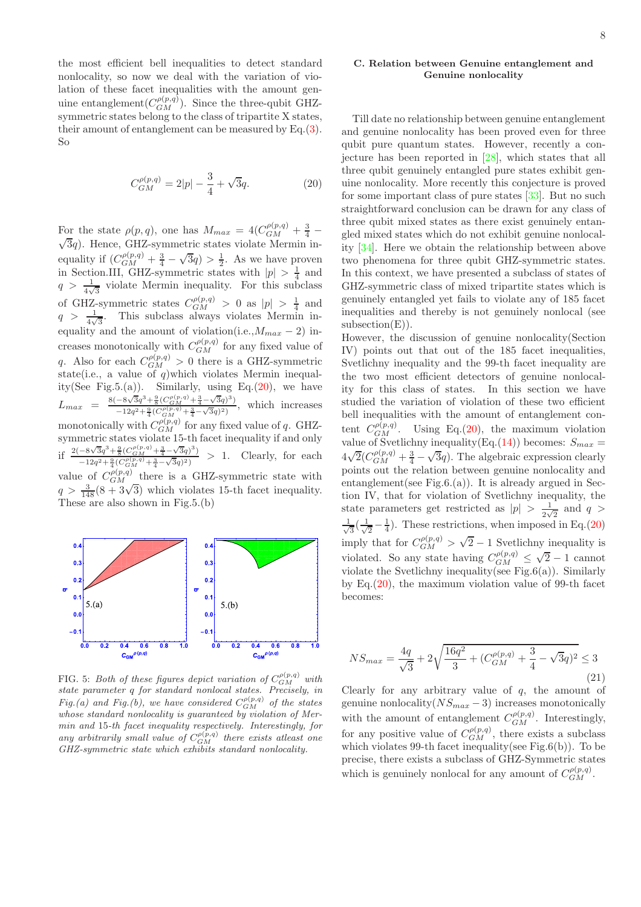the most efficient bell inequalities to detect standard nonlocality, so now we deal with the variation of violation of these facet inequalities with the amount genuine entanglement $(C_{GM}^{\rho(p,q)})$ . Since the three-qubit GHZsymmetric states belong to the class of tripartite X states, their amount of entanglement can be measured by  $Eq.(3)$  $Eq.(3)$ . So

<span id="page-7-0"></span>
$$
C_{GM}^{\rho(p,q)} = 2|p| - \frac{3}{4} + \sqrt{3}q.
$$
 (20)

For the state  $\rho(p,q)$ , one has  $M_{max} = 4(C_{GM}^{\rho(p,q)} + \frac{3}{4} - \sqrt{3}q)$ . Hence, GHZ-symmetric states violate Mermin inequality if  $(C_{GM}^{\rho(p,q)} + \frac{3}{4} \sqrt{3}q$ ) >  $\frac{1}{2}$ . As we have proven in Section.III, GHZ-symmetric states with  $|p| > \frac{1}{4}$  and  $q > \frac{1}{4\sqrt{3}}$  violate Mermin inequality. For this subclass of GHZ-symmetric states  $C_{GM}^{p(p,q)} > 0$  as  $|p| > \frac{1}{4}$  and  $q > \frac{1}{4\sqrt{3}}$ . This subclass always violates Mermin inequality and the amount of violation(i.e., $M_{max}$  – 2) increases monotonically with  $C_{GM}^{\rho(p,q)}$  for any fixed value of q. Also for each  $C_{GM}^{\rho(p,q)} > 0$  there is a GHZ-symmetric state(i.e., a value of q)which violates Mermin inequality(See Fig.5.(a)). Similarly, using Eq. $(20)$ , we have  $L_{max} = \frac{8(-8\sqrt{3}q^{3} + \frac{9}{8}(C_{GM}^{\rho(p,q)} + \frac{3}{4} - \sqrt{3}q)^{3})}{12\pi^{2} + \frac{9}{8}(C_{GM}^{\rho(p,q)} + \frac{3}{4} - \sqrt{3}q)^{3}}$  $\frac{-6\sqrt{3q} + \frac{9}{8}(\sqrt{c_{GM} + 4} - \sqrt{3q})^2}{-12q^2 + \frac{9}{4}(\sqrt{c_{GM}^{(p,q)} + \frac{3}{4} - \sqrt{3q})^2})}$ , which increases monotonically with  $C_{GM}^{\rho(p,q)}$  for any fixed value of q. GHZsymmetric states violate 15-th facet inequality if and only if  $\frac{2(-8\sqrt{3}q^{3} + \frac{9}{8}(C_{GM}^{\rho(p,q)} + \frac{3}{4} - \sqrt{3}q)^{3})}{12(3(3+8)(\rho(\rho,q)+3))}$  $\frac{-\infty}{9} \frac{4 \pm \frac{1}{8} (\sqrt{c_{GM} - 4})^2 - 299}{6 \pm 2 \sqrt{c_{GM}^2 + 4^2} (\sqrt{c_{GM}^2 + 4})^2} > 1$ . Clearly, for each value of  $C_{GM}^{\rho(p,q)}$  there is a GHZ-symmetric state with  $q > \frac{3}{148}(8 + 3\sqrt{3})$  which violates 15-th facet inequality. These are also shown in Fig.5.(b)



FIG. 5: Both of these figures depict variation of  $C_{GM}^{\rho(p,q)}$  with state parameter q for standard nonlocal states. Precisely, in Fig.(a) and Fig.(b), we have considered  $C_{GM}^{\rho(p,q)}$  of the states whose standard nonlocality is guaranteed by violation of Mermin and 15-th facet inequality respectively. Interestingly, for any arbitrarily small value of  $C_{GM}^{\rho(p,q)}$  there exists atleast one GHZ-symmetric state which exhibits standard nonlocality.

# C. Relation between Genuine entanglement and Genuine nonlocality

Till date no relationship between genuine entanglement and genuine nonlocality has been proved even for three qubit pure quantum states. However, recently a conjecture has been reported in [\[28](#page-9-25)], which states that all three qubit genuinely entangled pure states exhibit genuine nonlocality. More recently this conjecture is proved for some important class of pure states [\[33](#page-9-28)]. But no such straightforward conclusion can be drawn for any class of three qubit mixed states as there exist genuinely entangled mixed states which do not exhibit genuine nonlocality [\[34](#page-9-29)]. Here we obtain the relationship between above two phenomena for three qubit GHZ-symmetric states. In this context, we have presented a subclass of states of GHZ-symmetric class of mixed tripartite states which is genuinely entangled yet fails to violate any of 185 facet inequalities and thereby is not genuinely nonlocal (see  $subsection(E)$ ).

However, the discussion of genuine nonlocality(Section IV) points out that out of the 185 facet inequalities, Svetlichny inequality and the 99-th facet inequality are the two most efficient detectors of genuine nonlocality for this class of states. In this section we have studied the variation of violation of these two efficient bell inequalities with the amount of entanglement content  $C_{GM}^{\rho(p,q)}$ . Using Eq.[\(20\)](#page-7-0), the maximum violation value of Svetlichny inequality(Eq.[\(14\)](#page-4-1)) becomes:  $S_{max}$  =  $4\sqrt{2}(C_{GM}^{\rho(p,q)}+\frac{3}{4} \sqrt{3}q$ ). The algebraic expression clearly points out the relation between genuine nonlocality and entanglement(see Fig.6.(a)). It is already argued in Section IV, that for violation of Svetlichny inequality, the state parameters get restricted as  $|p| > \frac{1}{2\sqrt{p}}$  $\frac{1}{2\sqrt{2}}$  and  $q >$ √ 1  $\frac{1}{3}(\frac{1}{\sqrt{2}})$  $\frac{1}{2} - \frac{1}{4}$ . These restrictions, when imposed in Eq.[\(20\)](#page-7-0) imply that for  $C_{GM}^{\rho(p,q)} > \sqrt{2} - 1$  Svetlichny inequality is violated. So any state having  $C_{GM}^{\rho(p,q)} \leq$  $\sqrt{2} - 1$  cannot violate the Svetlichny inequality (see Fig.6(a)). Similarly by Eq.[\(20\)](#page-7-0), the maximum violation value of 99-th facet becomes:

$$
NS_{max} = \frac{4q}{\sqrt{3}} + 2\sqrt{\frac{16q^2}{3} + (C_{GM}^{\rho(p,q)} + \frac{3}{4} - \sqrt{3}q)^2} \le 3
$$
\n(21)

Clearly for any arbitrary value of  $q$ , the amount of genuine nonlocality $(NS_{max} - 3)$  increases monotonically with the amount of entanglement  $C_{GM}^{\rho(p,q)}$ . Interestingly, for any positive value of  $C_{GM}^{\rho(p,q)}$ , there exists a subclass which violates 99-th facet inequality(see Fig.6(b)). To be precise, there exists a subclass of GHZ-Symmetric states which is genuinely nonlocal for any amount of  $C_{GM}^{\rho(p,q)}$ .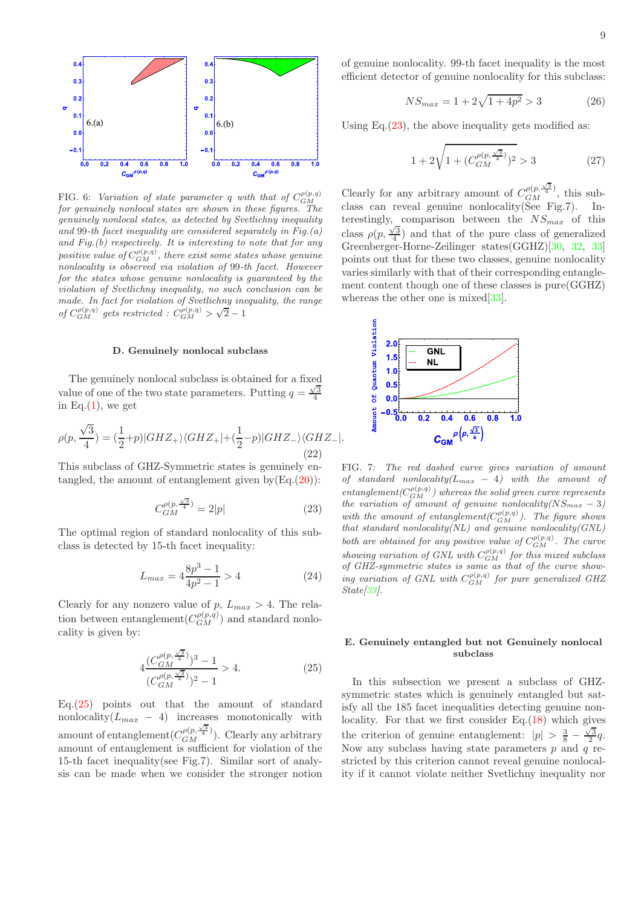

FIG. 6: Variation of state parameter q with that of  $C_{GM}^{\rho(p,q)}$ for genuinely nonlocal states are shown in these figures. The genuinely nonlocal states, as detected by Svetlichny inequality and 99-th facet inequality are considered separately in Fig. $(a)$ and Fig.(b) respectively. It is interesting to note that for any positive value of  $C_{GM}^{\rho (p,q)},$  there exist some states whose genuine nonlocality is observed via violation of 99-th facet. However for the states whose genuine nonlocality is guaranteed by the violation of Svetlichny inequality, no such conclusion can be made. In fact for violation of Svetlichny inequality, the range of  $C_{GM}^{\rho(p,q)}$  gets restricted :  $C_{GM}^{\rho(p,q)} > \sqrt{2} - 1$ 

#### D. Genuinely nonlocal subclass

The genuinely nonlocal subclass is obtained for a fixed value of one of the two state parameters. Putting  $q = \frac{\sqrt{3}}{4}$ in Eq. $(1)$ , we get

$$
\rho(p, \frac{\sqrt{3}}{4}) = \left(\frac{1}{2} + p\right)|GHZ_+\rangle \langle GHZ_+| + \left(\frac{1}{2} - p\right)|GHZ_-\rangle \langle GHZ_-|.
$$
\n(22)

This subclass of GHZ-Symmetric states is genuinely entangled, the amount of entanglement given by $(Eq.(20))$  $(Eq.(20))$  $(Eq.(20))$ :

<span id="page-8-1"></span>
$$
C_{GM}^{\rho(p,\frac{\sqrt{3}}{4})} = 2|p| \tag{23}
$$

The optimal region of standard nonlocality of this subclass is detected by 15-th facet inequality:

$$
L_{max} = 4\frac{8p^3 - 1}{4p^2 - 1} > 4
$$
 (24)

Clearly for any nonzero value of p,  $L_{max} > 4$ . The relation between entanglement $(C_{GM}^{\rho(p,q)})$  and standard nonlocality is given by:

<span id="page-8-0"></span>
$$
4\frac{(C_{GM}^{\rho(p,\frac{\sqrt{3}}{4})})^3 - 1}{(C_{GM}^{\rho(p,\frac{\sqrt{3}}{4})})^2 - 1} > 4.
$$
 (25)

 $Eq.(25)$  $Eq.(25)$  points out that the amount of standard nonlocality( $L_{max}$  – 4) increases monotonically with amount of entanglement $(C_{GM}^{\rho(p,\frac{\sqrt{3}}{4})})$ . Clearly any arbitrary amount of entanglement is sufficient for violation of the 15-th facet inequality(see Fig.7). Similar sort of analysis can be made when we consider the stronger notion of genuine nonlocality. 99-th facet inequality is the most efficient detector of genuine nonlocality for this subclass:

$$
NS_{max} = 1 + 2\sqrt{1 + 4p^2} > 3\tag{26}
$$

Using Eq. $(23)$ , the above inequality gets modified as:

$$
1 + 2\sqrt{1 + (C_{GM}^{\rho(p, \frac{\sqrt{3}}{4})})^2} > 3
$$
 (27)

Clearly for any arbitrary amount of  $C_{GM}^{\rho(p,\frac{\sqrt{3}}{4})}$ , this subclass can reveal genuine nonlocality(See Fig.7). Interestingly, comparison between the  $NS_{max}$  of this class  $\rho(p, \frac{\sqrt{3}}{4})$  and that of the pure class of generalized Greenberger-Horne-Zeilinger states(GGHZ)[\[30,](#page-9-27) [32,](#page-9-34) [33](#page-9-28)] points out that for these two classes, genuine nonlocality varies similarly with that of their corresponding entanglement content though one of these classes is pure(GGHZ) whereas the other one is mixed [\[33](#page-9-28)].



FIG. 7: The red dashed curve gives variation of amount of standard nonlocality( $L_{max}$  – 4) with the amount of entanglement $(C_{GM}^{\rho(p,q)})$  whereas the solid green curve represents the variation of amount of genuine nonlocality( $NS_{max} - 3$ ) with the amount of entanglement( $C_{GM}^{\rho(p,q)}$ ). The figure shows that standard nonlocality(NL) and genuine nonlocality(GNL) both are obtained for any positive value of  $C_{GM}^{\rho(p,q)}$ . The curve showing variation of GNL with  $C_{GM}^{\rho(p,q)}$  for this mixed subclass of GHZ-symmetric states is same as that of the curve showing variation of GNL with  $C_{GM}^{\rho(p,q)}$  for pure generalized GHZ State[\[33](#page-9-28)].

# E. Genuinely entangled but not Genuinely nonlocal subclass

In this subsection we present a subclass of GHZsymmetric states which is genuinely entangled but satisfy all the 185 facet inequalities detecting genuine nonlocality. For that we first consider  $Eq.(18)$  $Eq.(18)$  which gives the criterion of genuine entanglement:  $|p| > \frac{3}{8}$  $\frac{\sqrt{3}}{2}q.$ Now any subclass having state parameters  $p$  and  $q$  restricted by this criterion cannot reveal genuine nonlocality if it cannot violate neither Svetlichny inequality nor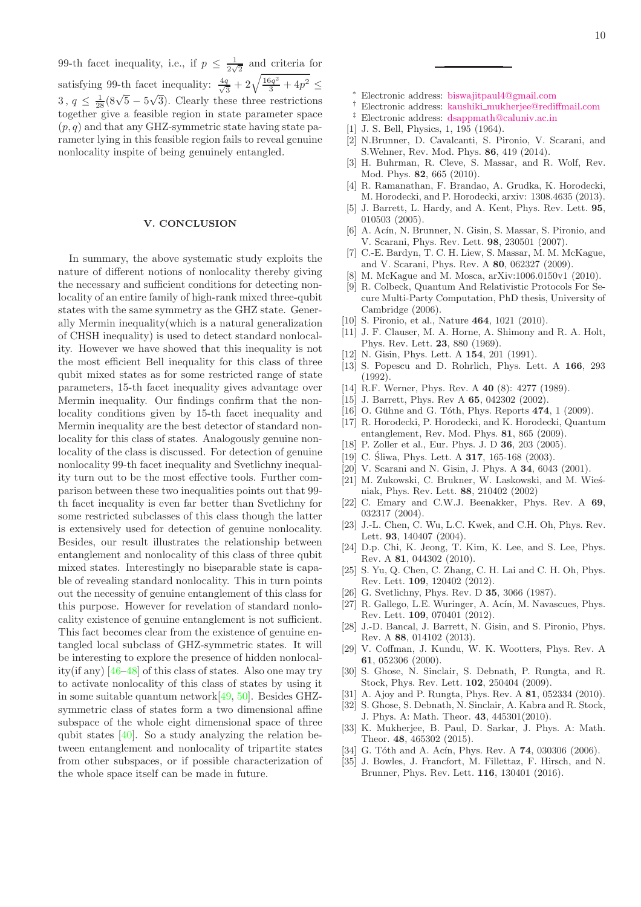99-th facet inequality, i.e., if  $p \leq \frac{1}{2\sqrt{2}}$  $\frac{1}{2\sqrt{2}}$  and criteria for satisfying 99-th facet inequality:  $\frac{4q}{\sqrt{6}}$  $\frac{q}{3}+2\sqrt{\frac{16q^2}{3}+4p^2}\leq$  $3, q \leq \frac{1}{28}(8\sqrt{5}-5\sqrt{3})$ . Clearly these three restrictions together give a feasible region in state parameter space  $(p, q)$  and that any GHZ-symmetric state having state parameter lying in this feasible region fails to reveal genuine nonlocality inspite of being genuinely entangled.

## V. CONCLUSION

In summary, the above systematic study exploits the nature of different notions of nonlocality thereby giving the necessary and sufficient conditions for detecting nonlocality of an entire family of high-rank mixed three-qubit states with the same symmetry as the GHZ state. Generally Mermin inequality(which is a natural generalization of CHSH inequality) is used to detect standard nonlocality. However we have showed that this inequality is not the most efficient Bell inequality for this class of three qubit mixed states as for some restricted range of state parameters, 15-th facet inequality gives advantage over Mermin inequality. Our findings confirm that the nonlocality conditions given by 15-th facet inequality and Mermin inequality are the best detector of standard nonlocality for this class of states. Analogously genuine nonlocality of the class is discussed. For detection of genuine nonlocality 99-th facet inequality and Svetlichny inequality turn out to be the most effective tools. Further comparison between these two inequalities points out that 99 th facet inequality is even far better than Svetlichny for some restricted subclasses of this class though the latter is extensively used for detection of genuine nonlocality. Besides, our result illustrates the relationship between entanglement and nonlocality of this class of three qubit mixed states. Interestingly no biseparable state is capable of revealing standard nonlocality. This in turn points out the necessity of genuine entanglement of this class for this purpose. However for revelation of standard nonlocality existence of genuine entanglement is not sufficient. This fact becomes clear from the existence of genuine entangled local subclass of GHZ-symmetric states. It will be interesting to explore the presence of hidden nonlocality(if any) [\[46](#page-10-8)[–48](#page-10-9)] of this class of states. Also one may try to activate nonlocality of this class of states by using it in some suitable quantum network[\[49,](#page-10-10) [50\]](#page-10-11). Besides GHZsymmetric class of states form a two dimensional affine subspace of the whole eight dimensional space of three qubit states [\[40\]](#page-10-2). So a study analyzing the relation between entanglement and nonlocality of tripartite states from other subspaces, or if possible characterization of the whole space itself can be made in future.

- <span id="page-9-0"></span><sup>∗</sup> Electronic address: [biswajitpaul4@gmail.com](mailto:biswajitpaul4@gmail.com)
- $^\dagger$  Electronic address: kaushiki\_[mukherjee@rediffmail.com](mailto:kaushiki_mukherjee@rediffmail.com)
- <span id="page-9-2"></span><span id="page-9-1"></span>‡ Electronic address: [dsappmath@caluniv.ac.in](mailto:dsappmath@caluniv.ac.in)
- <span id="page-9-3"></span>[1] J. S. Bell, Physics, 1, 195 (1964).
- <span id="page-9-4"></span>[2] N.Brunner, D. Cavalcanti, S. Pironio, V. Scarani, and S.Wehner, Rev. Mod. Phys. 86, 419 (2014).
- <span id="page-9-5"></span>[3] H. Buhrman, R. Cleve, S. Massar, and R. Wolf, Rev. Mod. Phys. 82, 665 (2010).
- <span id="page-9-6"></span>[4] R. Ramanathan, F. Brandao, A. Grudka, K. Horodecki, M. Horodecki, and P. Horodecki, arxiv: 1308.4635 (2013).
- <span id="page-9-7"></span>[5] J. Barrett, L. Hardy, and A. Kent, Phys. Rev. Lett. 95, 010503 (2005).
- <span id="page-9-8"></span>[6] A. Acín, N. Brunner, N. Gisin, S. Massar, S. Pironio, and V. Scarani, Phys. Rev. Lett. 98, 230501 (2007).
- <span id="page-9-9"></span>[7] C.-E. Bardyn, T. C. H. Liew, S. Massar, M. M. McKague, and V. Scarani, Phys. Rev. A 80, 062327 (2009).
- <span id="page-9-10"></span>[8] M. McKague and M. Mosca, arXiv:1006.0150v1 (2010).
- <span id="page-9-11"></span>[9] R. Colbeck, Quantum And Relativistic Protocols For Secure Multi-Party Computation, PhD thesis, University of Cambridge (2006).
- <span id="page-9-12"></span>[10] S. Pironio, et al., Nature **464**, 1021 (2010).
- <span id="page-9-13"></span>[11] J. F. Clauser, M. A. Horne, A. Shimony and R. A. Holt, Phys. Rev. Lett. 23, 880 (1969).
- <span id="page-9-14"></span>[12] N. Gisin, Phys. Lett. A **154**, 201 (1991).
- <span id="page-9-15"></span>[13] S. Popescu and D. Rohrlich, Phys. Lett. A 166, 293 (1992).
- <span id="page-9-16"></span>[14] R.F. Werner, Phys. Rev. A 40 (8): 4277 (1989).
- <span id="page-9-17"></span>[15] J. Barrett, Phys. Rev A **65**, 042302 (2002).
- <span id="page-9-18"></span>[16] O. Gühne and G. Tóth, Phys. Reports  $474$ , 1 (2009).
- <span id="page-9-19"></span>[17] R. Horodecki, P. Horodecki, and K. Horodecki, Quantum entanglement, Rev. Mod. Phys. 81, 865 (2009).
- <span id="page-9-20"></span>[18] P. Zoller et al., Eur. Phys. J. D 36, 203 (2005).
- <span id="page-9-21"></span>[19] C. Śliwa, Phys. Lett. A  $317$ , 165-168 (2003).
- <span id="page-9-22"></span>[20] V. Scarani and N. Gisin, J. Phys. A 34, 6043 (2001).
- [21] M. Zukowski, C. Brukner, W. Laskowski, and M. Wieśniak, Phys. Rev. Lett. 88, 210402 (2002)
- [22] C. Emary and C.W.J. Beenakker, Phys. Rev. A 69, 032317 (2004).
- [23] J.-L. Chen, C. Wu, L.C. Kwek, and C.H. Oh, Phys. Rev. Lett. **93**, 140407 (2004).
- <span id="page-9-33"></span>[24] D.p. Chi, K. Jeong, T. Kim, K. Lee, and S. Lee, Phys. Rev. A 81, 044302 (2010).
- <span id="page-9-23"></span>[25] S. Yu, Q. Chen, C. Zhang, C. H. Lai and C. H. Oh, Phys. Rev. Lett. 109, 120402 (2012).
- <span id="page-9-24"></span>[26] G. Svetlichny, Phys. Rev. D 35, 3066 (1987).
- <span id="page-9-32"></span>[27] R. Gallego, L.E. Wuringer, A. Acín, M. Navascues, Phys. Rev. Lett. 109, 070401 (2012).
- <span id="page-9-25"></span>[28] J.-D. Bancal, J. Barrett, N. Gisin, and S. Pironio, Phys. Rev. A 88, 014102 (2013).
- <span id="page-9-26"></span>[29] V. Coffman, J. Kundu, W. K. Wootters, Phys. Rev. A 61, 052306 (2000).
- <span id="page-9-27"></span>[30] S. Ghose, N. Sinclair, S. Debnath, P. Rungta, and R. Stock, Phys. Rev. Lett. 102, 250404 (2009).
- <span id="page-9-31"></span>[31] A. Ajoy and P. Rungta, Phys. Rev. A **81**, 052334 (2010).
- <span id="page-9-34"></span>[32] S. Ghose, S. Debnath, N. Sinclair, A. Kabra and R. Stock,
- J. Phys. A: Math. Theor. 43, 445301(2010). [33] K. Mukherjee, B. Paul, D. Sarkar, J. Phys. A: Math.
- <span id="page-9-28"></span>Theor. 48, 465302 (2015).
- <span id="page-9-29"></span>[34] G. Tóth and A. Acín, Phys. Rev. A 74, 030306 (2006).
- <span id="page-9-30"></span>[35] J. Bowles, J. Francfort, M. Fillettaz, F. Hirsch, and N. Brunner, Phys. Rev. Lett. 116, 130401 (2016).